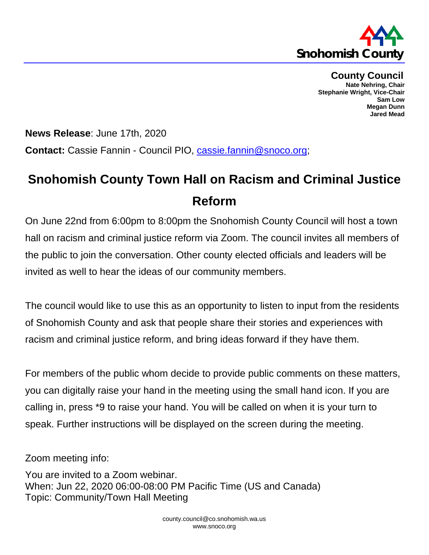

**County Council Nate Nehring, Chair Stephanie Wright, Vice-Chair Sam Low Megan Dunn Jared Mead**

**News Release**: June 17th, 2020 **Contact:** Cassie Fannin - Council PIO, [cassie.fannin@snoco.org;](mailto:cassie.fannin@snoco.org)

## **Snohomish County Town Hall on Racism and Criminal Justice Reform**

On June 22nd from 6:00pm to 8:00pm the Snohomish County Council will host a town hall on racism and criminal justice reform via Zoom. The council invites all members of the public to join the conversation. Other county elected officials and leaders will be invited as well to hear the ideas of our community members.

The council would like to use this as an opportunity to listen to input from the residents of Snohomish County and ask that people share their stories and experiences with racism and criminal justice reform, and bring ideas forward if they have them.

For members of the public whom decide to provide public comments on these matters, you can digitally raise your hand in the meeting using the small hand icon. If you are calling in, press \*9 to raise your hand. You will be called on when it is your turn to speak. Further instructions will be displayed on the screen during the meeting.

Zoom meeting info:

You are invited to a Zoom webinar. When: Jun 22, 2020 06:00-08:00 PM Pacific Time (US and Canada) Topic: Community/Town Hall Meeting